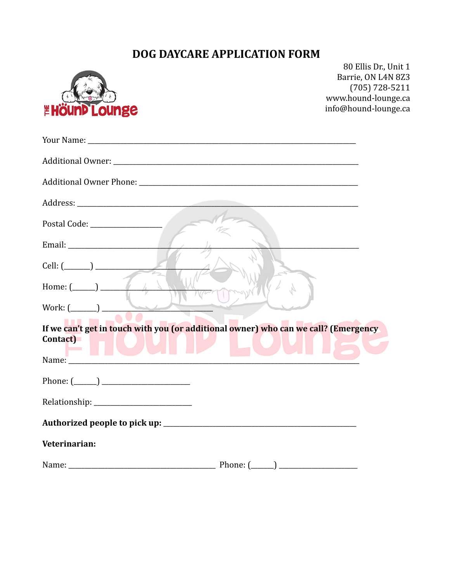## DOG DAYCARE APPLICATION FORM



80 Ellis Dr., Unit 1 Barrie, ON L4N 8Z3  $(705) 728 - 5211$ www.hound-lounge.ca info@hound-lounge.ca

| Cell: (_______) ________________                                                                                                                                                                                              |
|-------------------------------------------------------------------------------------------------------------------------------------------------------------------------------------------------------------------------------|
| Home: $(\_\_\_\_\_\$                                                                                                                                                                                                          |
| Work: $(\_\_)$<br>سحسا                                                                                                                                                                                                        |
| If we can't get in touch with you (or additional owner) who can we call? (Emergency<br>Contact)                                                                                                                               |
| Name: Name: Name: Name: Name: Name: Name: Name: Name: Name: Name: Name: Name: Name: Name: Name: Name: Name: Name: Name: Name: Name: Name: Name: Name: Name: Name: Name: Name: Name: Name: Name: Name: Name: Name: Name: Name: |
| Phone: $(\_\_)$                                                                                                                                                                                                               |
|                                                                                                                                                                                                                               |
|                                                                                                                                                                                                                               |
| Veterinarian:                                                                                                                                                                                                                 |
|                                                                                                                                                                                                                               |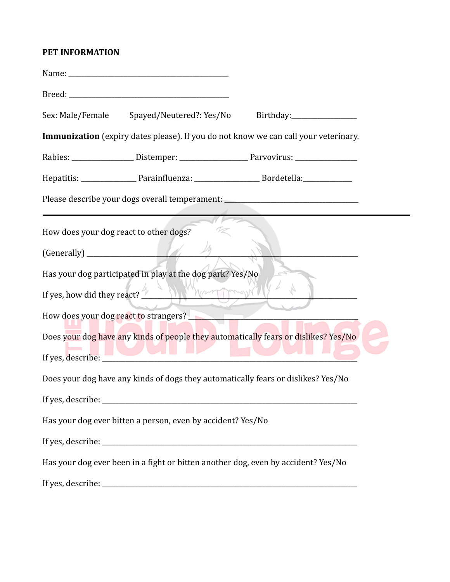## **PET INFORMATION**

|                                        | Sex: Male/Female Spayed/Neutered?: Yes/No Birthday: _________________                                         |  |
|----------------------------------------|---------------------------------------------------------------------------------------------------------------|--|
|                                        | Immunization (expiry dates please). If you do not know we can call your veterinary.                           |  |
|                                        |                                                                                                               |  |
|                                        | Hepatitis: _______________________Parainfluenza: ________________________________ Bordetella: _______________ |  |
|                                        | Please describe your dogs overall temperament: _________________________________                              |  |
| How does your dog react to other dogs? |                                                                                                               |  |
|                                        |                                                                                                               |  |
|                                        | Has your dog participated in play at the dog park? Yes/No                                                     |  |
|                                        | If yes, how did they react? $\frac{1}{2}$                                                                     |  |
|                                        |                                                                                                               |  |
|                                        | Does your dog have any kinds of people they automatically fears or dislikes? Yes/No                           |  |
|                                        | If yes, describe:                                                                                             |  |
|                                        | Does your dog have any kinds of dogs they automatically fears or dislikes? Yes/No                             |  |
|                                        |                                                                                                               |  |
|                                        | Has your dog ever bitten a person, even by accident? Yes/No                                                   |  |
|                                        |                                                                                                               |  |
|                                        | Has your dog ever been in a fight or bitten another dog, even by accident? Yes/No                             |  |
|                                        |                                                                                                               |  |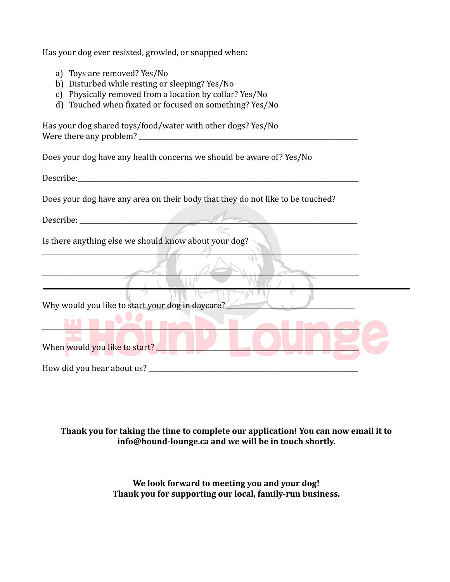Has your dog ever resisted, growled, or snapped when:

- a) Toys are removed? Yes/No
- b) Disturbed while resting or sleeping? Yes/No
- c) Physically removed from a location by collar? Yes/No
- d) Touched when fixated or focused on something? Yes/No

Has your dog shared toys/food/water with other dogs? Yes/No Were there any problem?

Does your dog have any health concerns we should be aware of? Yes/No

Describe:

Does your dog have any area on their body that they do not like to be touched?

\_\_\_\_\_\_\_\_\_\_\_\_\_\_\_\_\_\_\_\_\_\_\_\_\_\_\_\_\_\_\_\_\_\_\_\_\_\_\_\_\_\_\_\_\_\_\_\_\_\_\_\_\_\_\_\_\_\_\_\_\_\_\_\_\_\_\_\_\_\_\_\_\_\_\_\_\_\_\_\_\_\_\_\_\_\_\_\_\_\_\_\_\_\_\_\_\_

\_\_\_\_\_\_\_\_\_\_\_\_\_\_\_\_\_\_\_\_\_\_\_\_\_\_\_\_\_\_\_\_\_\_\_\_\_\_\_\_\_\_\_\_\_\_\_\_\_\_\_\_\_\_\_\_\_\_\_\_\_\_\_\_\_\_\_\_\_\_\_\_\_\_\_\_\_\_\_\_\_\_\_\_\_\_\_\_\_\_\_\_\_\_\_\_\_

Describe:

Is there anything else we should know about your dog?

 $\mathcal{L}$ 

Why would you like to start your dog in daycare?

When would you like to start?

How did you hear about us?

## **Thank you for taking the time to complete our application! You can now email it to info@hound-lounge.ca and we will be in touch shortly.**

**We look forward to meeting you and your dog! Thank you for supporting our local, family-run business.**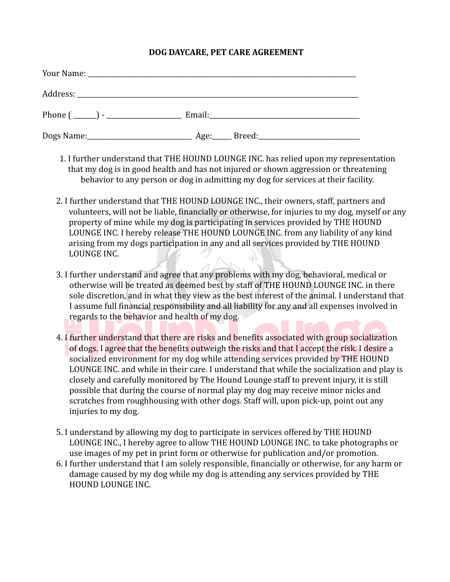## **DOG DAYCARE, PET CARE AGREEMENT**

| Your Name: 1988 and 1988 and 1988 and 1988 and 1988 and 1988 and 1988 and 1988 and 1988 and 1988 and 1988 and 1988 and 1988 and 1988 and 1988 and 1988 and 1988 and 1988 and 1988 and 1988 and 1988 and 1988 and 1988 and 1988 |  |  |
|--------------------------------------------------------------------------------------------------------------------------------------------------------------------------------------------------------------------------------|--|--|
|                                                                                                                                                                                                                                |  |  |
| Phone $(\_\_)$ - $\_\_$                                                                                                                                                                                                        |  |  |
|                                                                                                                                                                                                                                |  |  |

- 1. I further understand that THE HOUND LOUNGE INC. has relied upon my representation that my dog is in good health and has not injured or shown aggression or threatening behavior to any person or dog in admitting my dog for services at their facility.
- 2. I further understand that THE HOUND LOUNGE INC., their owners, staff, partners and volunteers, will not be liable, financially or otherwise, for injuries to my dog, myself or any property of mine while my dog is participating in services provided by THE HOUND LOUNGE INC. I hereby release THE HOUND LOUNGE INC. from any liability of any kind arising from my dogs participation in any and all services provided by THE HOUND LOUNGE INC.
- 3. I further understand and agree that any problems with my dog, behavioral, medical or otherwise will be treated as deemed best by staff of THE HOUND LOUNGE INC. in there sole discretion, and in what they view as the best interest of the animal. I understand that I assume full financial responsibility and all liability for any and all expenses involved in regards to the behavior and health of my dog.
- 4. I further understand that there are risks and benefits associated with group socialization of dogs. I agree that the benefits outweigh the risks and that I accept the risk. I desire a socialized environment for my dog while attending services provided by THE HOUND LOUNGE INC. and while in their care. I understand that while the socialization and play is closely and carefully monitored by The Hound Lounge staff to prevent injury, it is still possible that during the course of normal play my dog may receive minor nicks and scratches from roughhousing with other dogs. Staff will, upon pick-up, point out any injuries to my dog.
- 5. I understand by allowing my dog to participate in services offered by THE HOUND LOUNGE INC., I hereby agree to allow THE HOUND LOUNGE INC. to take photographs or use images of my pet in print form or otherwise for publication and/or promotion.
- 6. I further understand that I am solely responsible, financially or otherwise, for any harm or damage caused by my dog while my dog is attending any services provided by THE HOUND LOUNGE INC.